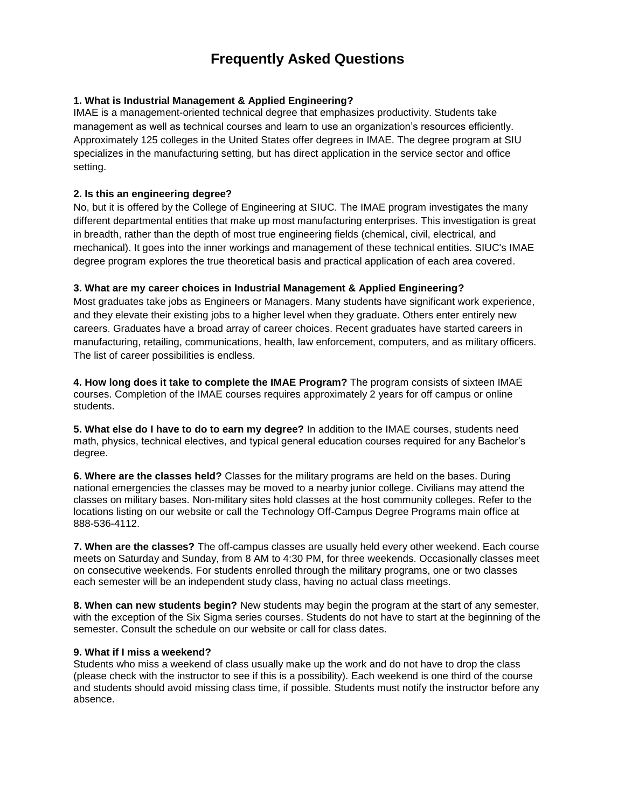# **Frequently Asked Questions**

## **1. What is Industrial Management & Applied Engineering?**

IMAE is a management-oriented technical degree that emphasizes productivity. Students take management as well as technical courses and learn to use an organization's resources efficiently. Approximately 125 colleges in the United States offer degrees in IMAE. The degree program at SIU specializes in the manufacturing setting, but has direct application in the service sector and office setting.

#### **2. Is this an engineering degree?**

No, but it is offered by the College of Engineering at SIUC. The IMAE program investigates the many different departmental entities that make up most manufacturing enterprises. This investigation is great in breadth, rather than the depth of most true engineering fields (chemical, civil, electrical, and mechanical). It goes into the inner workings and management of these technical entities. SIUC's IMAE degree program explores the true theoretical basis and practical application of each area covered.

### **3. What are my career choices in Industrial Management & Applied Engineering?**

Most graduates take jobs as Engineers or Managers. Many students have significant work experience, and they elevate their existing jobs to a higher level when they graduate. Others enter entirely new careers. Graduates have a broad array of career choices. Recent graduates have started careers in manufacturing, retailing, communications, health, law enforcement, computers, and as military officers. The list of career possibilities is endless.

**4. How long does it take to complete the IMAE Program?** The program consists of sixteen IMAE courses. Completion of the IMAE courses requires approximately 2 years for off campus or online students.

**5. What else do I have to do to earn my degree?** In addition to the IMAE courses, students need math, physics, technical electives, and typical general education courses required for any Bachelor's degree.

**6. Where are the classes held?** Classes for the military programs are held on the bases. During national emergencies the classes may be moved to a nearby junior college. Civilians may attend the classes on military bases. Non-military sites hold classes at the host community colleges. Refer to the locations listing on our website or call the Technology Off-Campus Degree Programs main office at 888-536-4112.

**7. When are the classes?** The off-campus classes are usually held every other weekend. Each course meets on Saturday and Sunday, from 8 AM to 4:30 PM, for three weekends. Occasionally classes meet on consecutive weekends. For students enrolled through the military programs, one or two classes each semester will be an independent study class, having no actual class meetings.

**8. When can new students begin?** New students may begin the program at the start of any semester, with the exception of the Six Sigma series courses. Students do not have to start at the beginning of the semester. Consult the schedule on our website or call for class dates.

#### **9. What if I miss a weekend?**

Students who miss a weekend of class usually make up the work and do not have to drop the class (please check with the instructor to see if this is a possibility). Each weekend is one third of the course and students should avoid missing class time, if possible. Students must notify the instructor before any absence.